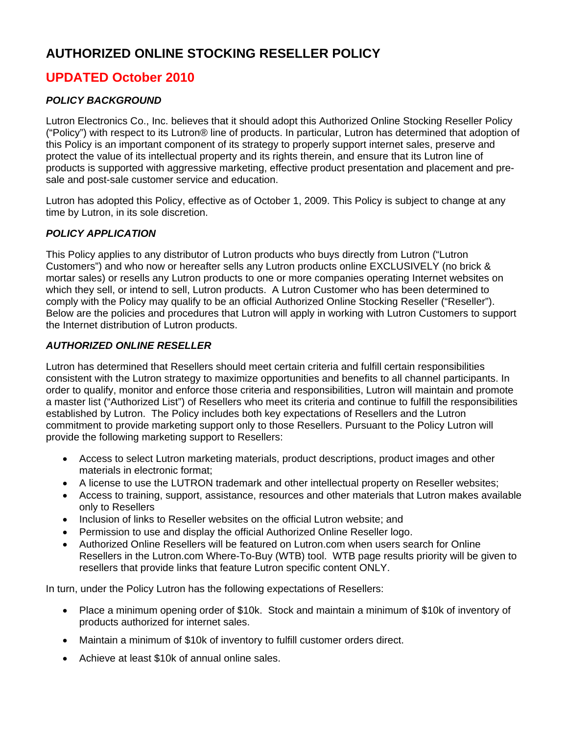# **AUTHORIZED ONLINE STOCKING RESELLER POLICY**

## **UPDATED October 2010**

## *POLICY BACKGROUND*

Lutron Electronics Co., Inc. believes that it should adopt this Authorized Online Stocking Reseller Policy ("Policy") with respect to its Lutron® line of products. In particular, Lutron has determined that adoption of this Policy is an important component of its strategy to properly support internet sales, preserve and protect the value of its intellectual property and its rights therein, and ensure that its Lutron line of products is supported with aggressive marketing, effective product presentation and placement and presale and post-sale customer service and education.

Lutron has adopted this Policy, effective as of October 1, 2009. This Policy is subject to change at any time by Lutron, in its sole discretion.

## *POLICY APPLICATION*

This Policy applies to any distributor of Lutron products who buys directly from Lutron ("Lutron Customers") and who now or hereafter sells any Lutron products online EXCLUSIVELY (no brick & mortar sales) or resells any Lutron products to one or more companies operating Internet websites on which they sell, or intend to sell, Lutron products. A Lutron Customer who has been determined to comply with the Policy may qualify to be an official Authorized Online Stocking Reseller ("Reseller"). Below are the policies and procedures that Lutron will apply in working with Lutron Customers to support the Internet distribution of Lutron products.

## *AUTHORIZED ONLINE RESELLER*

Lutron has determined that Resellers should meet certain criteria and fulfill certain responsibilities consistent with the Lutron strategy to maximize opportunities and benefits to all channel participants. In order to qualify, monitor and enforce those criteria and responsibilities, Lutron will maintain and promote a master list ("Authorized List") of Resellers who meet its criteria and continue to fulfill the responsibilities established by Lutron. The Policy includes both key expectations of Resellers and the Lutron commitment to provide marketing support only to those Resellers. Pursuant to the Policy Lutron will provide the following marketing support to Resellers:

- Access to select Lutron marketing materials, product descriptions, product images and other materials in electronic format;
- A license to use the LUTRON trademark and other intellectual property on Reseller websites;
- Access to training, support, assistance, resources and other materials that Lutron makes available only to Resellers
- Inclusion of links to Reseller websites on the official Lutron website; and
- Permission to use and display the official Authorized Online Reseller logo.
- Authorized Online Resellers will be featured on Lutron.com when users search for Online Resellers in the Lutron.com Where-To-Buy (WTB) tool. WTB page results priority will be given to resellers that provide links that feature Lutron specific content ONLY.

In turn, under the Policy Lutron has the following expectations of Resellers:

- Place a minimum opening order of \$10k. Stock and maintain a minimum of \$10k of inventory of products authorized for internet sales.
- Maintain a minimum of \$10k of inventory to fulfill customer orders direct.
- Achieve at least \$10k of annual online sales.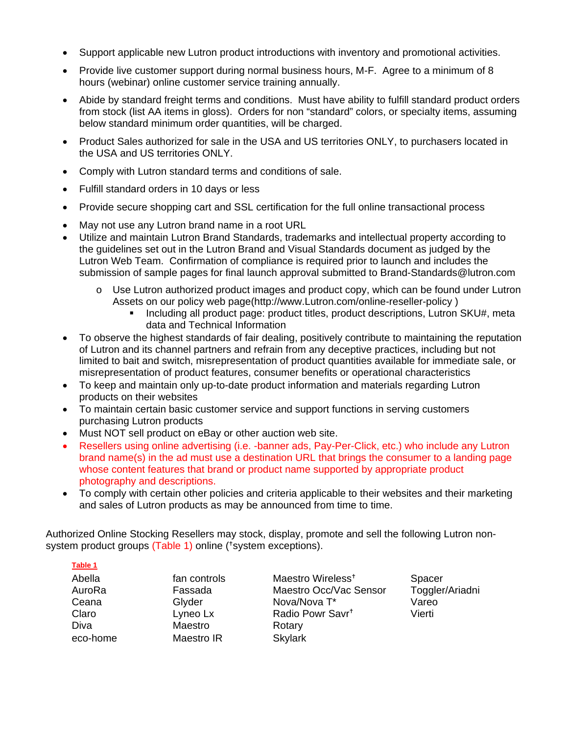- Support applicable new Lutron product introductions with inventory and promotional activities.
- Provide live customer support during normal business hours, M-F. Agree to a minimum of 8 hours (webinar) online customer service training annually.
- Abide by standard freight terms and conditions. Must have ability to fulfill standard product orders from stock (list AA items in gloss). Orders for non "standard" colors, or specialty items, assuming below standard minimum order quantities, will be charged.
- Product Sales authorized for sale in the USA and US territories ONLY, to purchasers located in the USA and US territories ONLY.
- Comply with Lutron standard terms and conditions of sale.
- Fulfill standard orders in 10 days or less
- Provide secure shopping cart and SSL certification for the full online transactional process
- May not use any Lutron brand name in a root URL
- Utilize and maintain Lutron Brand Standards, trademarks and intellectual property according to the guidelines set out in the Lutron Brand and Visual Standards document as judged by the Lutron Web Team. Confirmation of compliance is required prior to launch and includes the submission of sample pages for final launch approval submitted to Brand-Standards@lutron.com
	- o Use Lutron authorized product images and product copy, which can be found under Lutron Assets on our policy web page(http://www.Lutron.com/online-reseller-policy )
		- **Including all product page: product titles, product descriptions, Lutron SKU#, meta** data and Technical Information
- To observe the highest standards of fair dealing, positively contribute to maintaining the reputation of Lutron and its channel partners and refrain from any deceptive practices, including but not limited to bait and switch, misrepresentation of product quantities available for immediate sale, or misrepresentation of product features, consumer benefits or operational characteristics
- To keep and maintain only up-to-date product information and materials regarding Lutron products on their websites
- To maintain certain basic customer service and support functions in serving customers purchasing Lutron products
- Must NOT sell product on eBay or other auction web site.
- Resellers using online advertising (i.e. -banner ads, Pay-Per-Click, etc.) who include any Lutron brand name(s) in the ad must use a destination URL that brings the consumer to a landing page whose content features that brand or product name supported by appropriate product photography and descriptions.
- To comply with certain other policies and criteria applicable to their websites and their marketing and sales of Lutron products as may be announced from time to time.

Authorized Online Stocking Resellers may stock, display, promote and sell the following Lutron nonsystem product groups (Table 1) online (<sup>+</sup>system exceptions).

| Abella   |
|----------|
| AuroRa   |
| Ceana    |
| Claro    |
| Diva     |
| eco-home |

Maestro Rotary Maestro IR Skylark

 $fan$  controls Maestro Wireless<sup>+</sup> Spacer Fassada Maestro Occ/Vac Sensor Toggler/Ariadni Glyder Nova/Nova T<sup>\*</sup> Vareo Lyneo Lx **Radio Powr Savr<sup>t</sup>** Vierti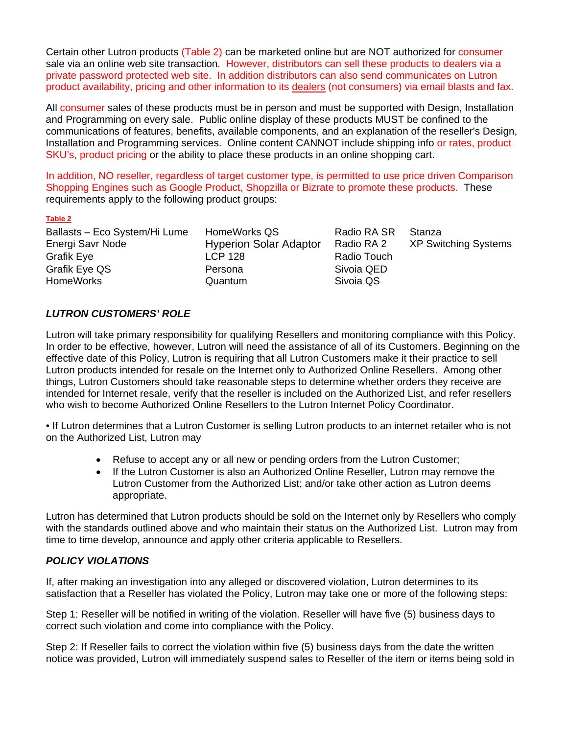Certain other Lutron products (Table 2) can be marketed online but are NOT authorized for consumer sale via an online web site transaction. However, distributors can sell these products to dealers via a private password protected web site. In addition distributors can also send communicates on Lutron product availability, pricing and other information to its dealers (not consumers) via email blasts and fax.

All consumer sales of these products must be in person and must be supported with Design, Installation and Programming on every sale. Public online display of these products MUST be confined to the communications of features, benefits, available components, and an explanation of the reseller's Design, Installation and Programming services. Online content CANNOT include shipping info or rates, product SKU's, product pricing or the ability to place these products in an online shopping cart.

In addition, NO reseller, regardless of target customer type, is permitted to use price driven Comparison Shopping Engines such as Google Product, Shopzilla or Bizrate to promote these products. These requirements apply to the following product groups:

#### **Table 2**

Ballasts – Eco System/Hi Lume HomeWorks QS Radio RA SR Stanza Grafik Eye **LCP** 128 Radio Touch Grafik Eye QS Persona Sivoia QED HomeWorks Quantum

Energi Savr Node Hyperion Solar Adaptor Radio RA 2 XP Switching Systems

## *LUTRON CUSTOMERS' ROLE*

Lutron will take primary responsibility for qualifying Resellers and monitoring compliance with this Policy. In order to be effective, however, Lutron will need the assistance of all of its Customers. Beginning on the effective date of this Policy, Lutron is requiring that all Lutron Customers make it their practice to sell Lutron products intended for resale on the Internet only to Authorized Online Resellers. Among other things, Lutron Customers should take reasonable steps to determine whether orders they receive are intended for Internet resale, verify that the reseller is included on the Authorized List, and refer resellers who wish to become Authorized Online Resellers to the Lutron Internet Policy Coordinator.

• If Lutron determines that a Lutron Customer is selling Lutron products to an internet retailer who is not on the Authorized List, Lutron may

- Refuse to accept any or all new or pending orders from the Lutron Customer;
- If the Lutron Customer is also an Authorized Online Reseller, Lutron may remove the Lutron Customer from the Authorized List; and/or take other action as Lutron deems appropriate.

Lutron has determined that Lutron products should be sold on the Internet only by Resellers who comply with the standards outlined above and who maintain their status on the Authorized List. Lutron may from time to time develop, announce and apply other criteria applicable to Resellers.

## *POLICY VIOLATIONS*

If, after making an investigation into any alleged or discovered violation, Lutron determines to its satisfaction that a Reseller has violated the Policy, Lutron may take one or more of the following steps:

Step 1: Reseller will be notified in writing of the violation. Reseller will have five (5) business days to correct such violation and come into compliance with the Policy.

Step 2: If Reseller fails to correct the violation within five (5) business days from the date the written notice was provided, Lutron will immediately suspend sales to Reseller of the item or items being sold in